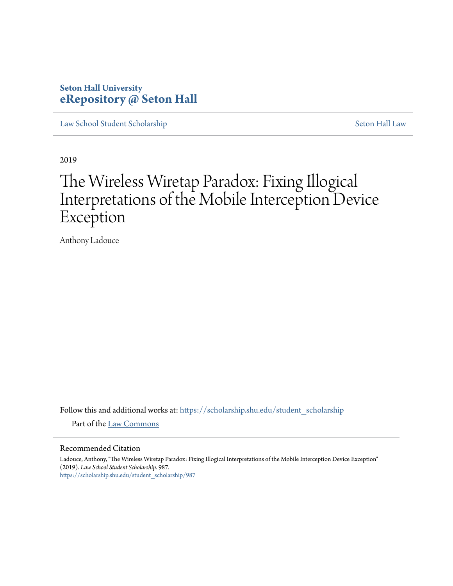# **Seton Hall University [eRepository @ Seton Hall](https://scholarship.shu.edu?utm_source=scholarship.shu.edu%2Fstudent_scholarship%2F987&utm_medium=PDF&utm_campaign=PDFCoverPages)**

[Law School Student Scholarship](https://scholarship.shu.edu/student_scholarship?utm_source=scholarship.shu.edu%2Fstudent_scholarship%2F987&utm_medium=PDF&utm_campaign=PDFCoverPages) [Seton Hall Law](https://scholarship.shu.edu/law?utm_source=scholarship.shu.edu%2Fstudent_scholarship%2F987&utm_medium=PDF&utm_campaign=PDFCoverPages)

2019

# The Wireless Wiretap Paradox: Fixing Illogical Interpretations of the Mobile Interception Device Exception

Anthony Ladouce

Follow this and additional works at: [https://scholarship.shu.edu/student\\_scholarship](https://scholarship.shu.edu/student_scholarship?utm_source=scholarship.shu.edu%2Fstudent_scholarship%2F987&utm_medium=PDF&utm_campaign=PDFCoverPages)

Part of the [Law Commons](http://network.bepress.com/hgg/discipline/578?utm_source=scholarship.shu.edu%2Fstudent_scholarship%2F987&utm_medium=PDF&utm_campaign=PDFCoverPages)

#### Recommended Citation

Ladouce, Anthony, "The Wireless Wiretap Paradox: Fixing Illogical Interpretations of the Mobile Interception Device Exception" (2019). *Law School Student Scholarship*. 987. [https://scholarship.shu.edu/student\\_scholarship/987](https://scholarship.shu.edu/student_scholarship/987?utm_source=scholarship.shu.edu%2Fstudent_scholarship%2F987&utm_medium=PDF&utm_campaign=PDFCoverPages)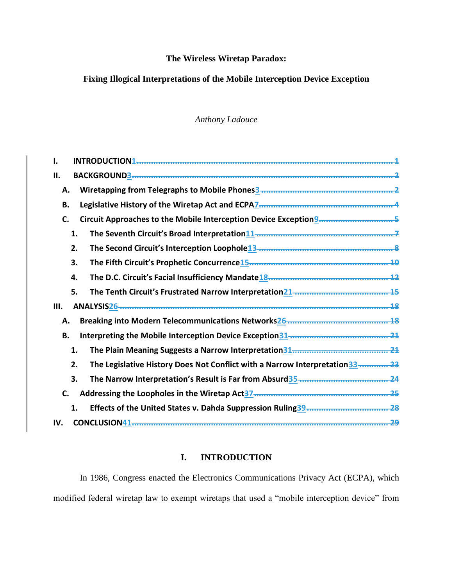# **The Wireless Wiretap Paradox:**

# **Fixing Illogical Interpretations of the Mobile Interception Device Exception**

# *Anthony Ladouce*

| н.                                                                                                 |
|----------------------------------------------------------------------------------------------------|
| Α.                                                                                                 |
| Legislative History of the Wiretap Act and ECPA7 management contains an amount 4<br>В.             |
| C.                                                                                                 |
| 1.                                                                                                 |
| The Second Circuit's Interception Loophole13 mmmmmmmmmmmmmmmmmmmmmmm<br>2.                         |
| 3.                                                                                                 |
| The D.C. Circuit's Facial Insufficiency Mandate <sup>18</sup> manuscription manuscription 12<br>4. |
| 5.                                                                                                 |
| Ш.<br>18                                                                                           |
| Α.                                                                                                 |
| В.                                                                                                 |
| 1.                                                                                                 |
| The Legislative History Does Not Conflict with a Narrow Interpretation 33  23<br>2.                |
| 3.                                                                                                 |
| C.                                                                                                 |
| 1.<br>-28                                                                                          |
| IV.<br>CONCLUSION41 <del></del>                                                                    |

# **I. INTRODUCTION**

<span id="page-1-0"></span>In 1986, Congress enacted the Electronics Communications Privacy Act (ECPA), which modified federal wiretap law to exempt wiretaps that used a "mobile interception device" from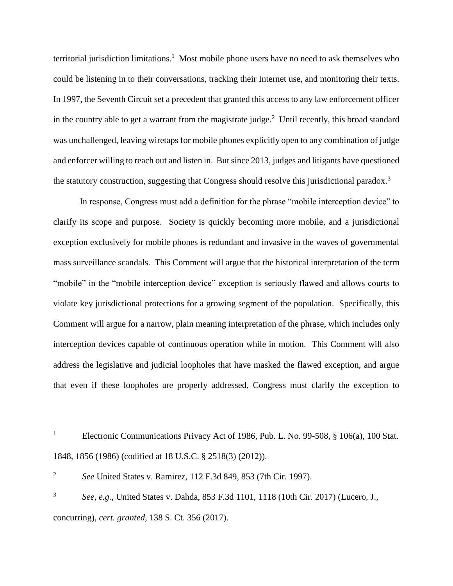territorial jurisdiction limitations.<sup>1</sup> Most mobile phone users have no need to ask themselves who could be listening in to their conversations, tracking their Internet use, and monitoring their texts. In 1997, the Seventh Circuit set a precedent that granted this access to any law enforcement officer in the country able to get a warrant from the magistrate judge. $2$  Until recently, this broad standard was unchallenged, leaving wiretaps for mobile phones explicitly open to any combination of judge and enforcer willing to reach out and listen in. But since 2013, judges and litigants have questioned the statutory construction, suggesting that Congress should resolve this jurisdictional paradox.<sup>3</sup>

In response, Congress must add a definition for the phrase "mobile interception device" to clarify its scope and purpose. Society is quickly becoming more mobile, and a jurisdictional exception exclusively for mobile phones is redundant and invasive in the waves of governmental mass surveillance scandals. This Comment will argue that the historical interpretation of the term "mobile" in the "mobile interception device" exception is seriously flawed and allows courts to violate key jurisdictional protections for a growing segment of the population. Specifically, this Comment will argue for a narrow, plain meaning interpretation of the phrase, which includes only interception devices capable of continuous operation while in motion. This Comment will also address the legislative and judicial loopholes that have masked the flawed exception, and argue that even if these loopholes are properly addressed, Congress must clarify the exception to

<sup>1</sup> Electronic Communications Privacy Act of 1986, Pub. L. No. 99-508,  $\S$  106(a), 100 Stat. 1848, 1856 (1986) (codified at 18 U.S.C. § 2518(3) (2012)).

2 *See* United States v. Ramirez, 112 F.3d 849, 853 (7th Cir. 1997).

3 *See, e.g.*, United States v. Dahda, 853 F.3d 1101, 1118 (10th Cir. 2017) (Lucero, J., concurring), *cert. granted*, 138 S. Ct. 356 (2017).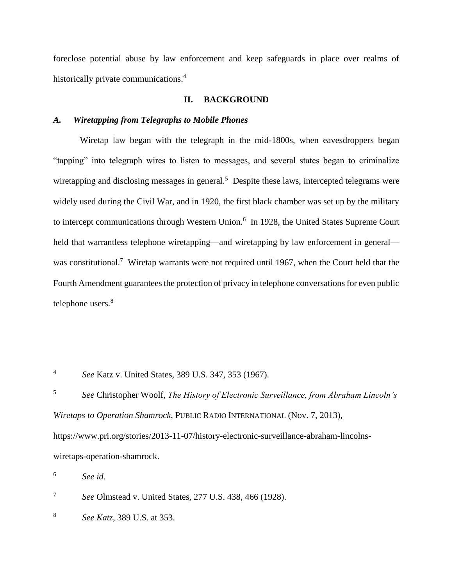foreclose potential abuse by law enforcement and keep safeguards in place over realms of historically private communications.<sup>4</sup>

## **II. BACKGROUND**

#### <span id="page-3-1"></span><span id="page-3-0"></span>*A. Wiretapping from Telegraphs to Mobile Phones*

Wiretap law began with the telegraph in the mid-1800s, when eavesdroppers began "tapping" into telegraph wires to listen to messages, and several states began to criminalize wiretapping and disclosing messages in general.<sup>5</sup> Despite these laws, intercepted telegrams were widely used during the Civil War, and in 1920, the first black chamber was set up by the military to intercept communications through Western Union.<sup>6</sup> In 1928, the United States Supreme Court held that warrantless telephone wiretapping—and wiretapping by law enforcement in general was constitutional.<sup>7</sup> Wiretap warrants were not required until 1967, when the Court held that the Fourth Amendment guarantees the protection of privacy in telephone conversations for even public telephone users.<sup>8</sup>

4 *See* Katz v. United States, 389 U.S. 347, 353 (1967).

5 *See* Christopher Woolf, *The History of Electronic Surveillance, from Abraham Lincoln's Wiretaps to Operation Shamrock*, PUBLIC RADIO INTERNATIONAL (Nov. 7, 2013), https://www.pri.org/stories/2013-11-07/history-electronic-surveillance-abraham-lincolnswiretaps-operation-shamrock.

6 *See id.*

7 *See* Olmstead v. United States, 277 U.S. 438, 466 (1928).

8 *See Katz*, 389 U.S. at 353.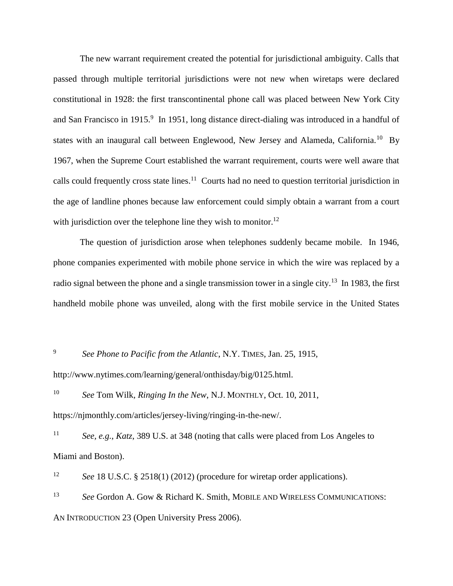The new warrant requirement created the potential for jurisdictional ambiguity. Calls that passed through multiple territorial jurisdictions were not new when wiretaps were declared constitutional in 1928: the first transcontinental phone call was placed between New York City and San Francisco in 1915.<sup>9</sup> In 1951, long distance direct-dialing was introduced in a handful of states with an inaugural call between Englewood, New Jersey and Alameda, California.<sup>10</sup> By 1967, when the Supreme Court established the warrant requirement, courts were well aware that calls could frequently cross state lines.<sup>11</sup> Courts had no need to question territorial jurisdiction in the age of landline phones because law enforcement could simply obtain a warrant from a court with jurisdiction over the telephone line they wish to monitor.<sup>12</sup>

The question of jurisdiction arose when telephones suddenly became mobile. In 1946, phone companies experimented with mobile phone service in which the wire was replaced by a radio signal between the phone and a single transmission tower in a single city.<sup>13</sup> In 1983, the first handheld mobile phone was unveiled, along with the first mobile service in the United States

9 *See Phone to Pacific from the Atlantic*, N.Y. TIMES, Jan. 25, 1915,

http://www.nytimes.com/learning/general/onthisday/big/0125.html.

<sup>10</sup> *See* Tom Wilk, *Ringing In the New*, N.J. MONTHLY, Oct. 10, 2011, https://njmonthly.com/articles/jersey-living/ringing-in-the-new/.

<sup>11</sup> *See, e.g.*, *Katz*, 389 U.S. at 348 (noting that calls were placed from Los Angeles to Miami and Boston).

<sup>12</sup> *See* 18 U.S.C. § 2518(1) (2012) (procedure for wiretap order applications).

<sup>13</sup> *See* Gordon A. Gow & Richard K. Smith, MOBILE AND WIRELESS COMMUNICATIONS: AN INTRODUCTION 23 (Open University Press 2006).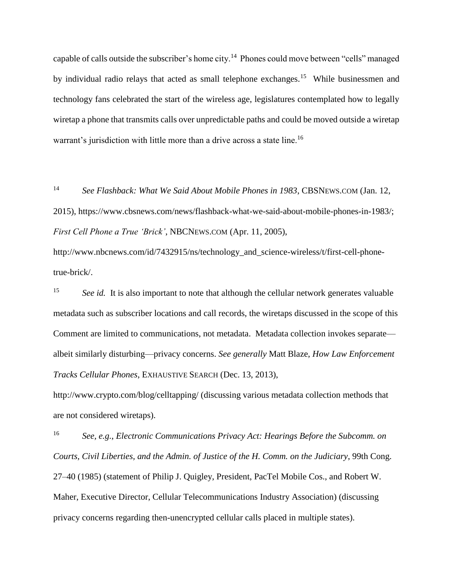capable of calls outside the subscriber's home city.<sup>14</sup> Phones could move between "cells" managed by individual radio relays that acted as small telephone exchanges.<sup>15</sup> While businessmen and technology fans celebrated the start of the wireless age, legislatures contemplated how to legally wiretap a phone that transmits calls over unpredictable paths and could be moved outside a wiretap warrant's jurisdiction with little more than a drive across a state line.<sup>16</sup>

<sup>14</sup> *See Flashback: What We Said About Mobile Phones in 1983*, CBSNEWS.COM (Jan. 12, 2015), https://www.cbsnews.com/news/flashback-what-we-said-about-mobile-phones-in-1983/; *First Cell Phone a True 'Brick'*, NBCNEWS.COM (Apr. 11, 2005),

http://www.nbcnews.com/id/7432915/ns/technology\_and\_science-wireless/t/first-cell-phonetrue-brick/.

<sup>15</sup> *See id.* It is also important to note that although the cellular network generates valuable metadata such as subscriber locations and call records, the wiretaps discussed in the scope of this Comment are limited to communications, not metadata. Metadata collection invokes separate albeit similarly disturbing—privacy concerns. *See generally* Matt Blaze, *How Law Enforcement Tracks Cellular Phones*, EXHAUSTIVE SEARCH (Dec. 13, 2013),

http://www.crypto.com/blog/celltapping/ (discussing various metadata collection methods that are not considered wiretaps).

<sup>16</sup> *See, e.g.*, *Electronic Communications Privacy Act: Hearings Before the Subcomm. on Courts, Civil Liberties, and the Admin. of Justice of the H. Comm. on the Judiciary*, 99th Cong. 27–40 (1985) (statement of Philip J. Quigley, President, PacTel Mobile Cos., and Robert W. Maher, Executive Director, Cellular Telecommunications Industry Association) (discussing privacy concerns regarding then-unencrypted cellular calls placed in multiple states).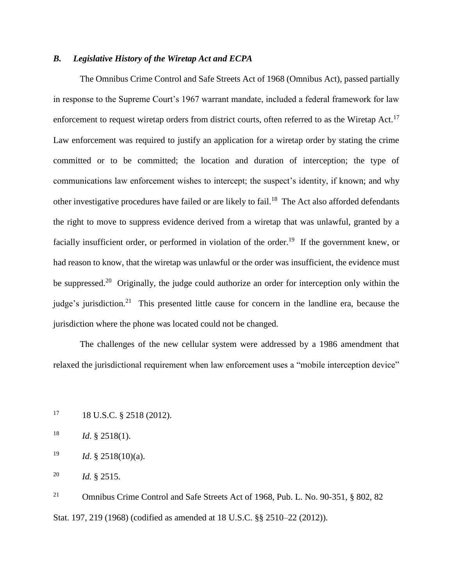# <span id="page-7-0"></span>*B. Legislative History of the Wiretap Act and ECPA*

The Omnibus Crime Control and Safe Streets Act of 1968 (Omnibus Act), passed partially in response to the Supreme Court's 1967 warrant mandate, included a federal framework for law enforcement to request wiretap orders from district courts, often referred to as the Wiretap Act.<sup>17</sup> Law enforcement was required to justify an application for a wiretap order by stating the crime committed or to be committed; the location and duration of interception; the type of communications law enforcement wishes to intercept; the suspect's identity, if known; and why other investigative procedures have failed or are likely to fail.<sup>18</sup> The Act also afforded defendants the right to move to suppress evidence derived from a wiretap that was unlawful, granted by a facially insufficient order, or performed in violation of the order.<sup>19</sup> If the government knew, or had reason to know, that the wiretap was unlawful or the order was insufficient, the evidence must be suppressed.<sup>20</sup> Originally, the judge could authorize an order for interception only within the judge's jurisdiction.<sup>21</sup> This presented little cause for concern in the landline era, because the jurisdiction where the phone was located could not be changed.

The challenges of the new cellular system were addressed by a 1986 amendment that relaxed the jurisdictional requirement when law enforcement uses a "mobile interception device"

<sup>18</sup> *Id.* § 2518(1).

<sup>19</sup> *Id.* § 2518(10)(a).

<sup>20</sup> *Id.* § 2515.

<sup>21</sup> Omnibus Crime Control and Safe Streets Act of 1968, Pub. L. No. 90-351, § 802, 82 Stat. 197, 219 (1968) (codified as amended at 18 U.S.C. §§ 2510–22 (2012)).

 $17 \t18 \tU.S.C.$  § 2518 (2012).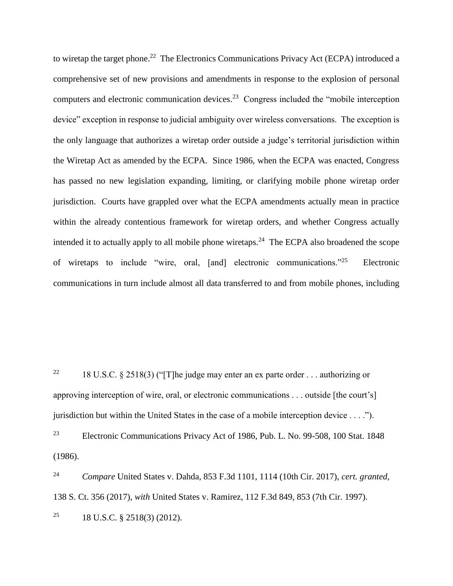to wiretap the target phone.<sup>22</sup> The Electronics Communications Privacy Act (ECPA) introduced a comprehensive set of new provisions and amendments in response to the explosion of personal computers and electronic communication devices.<sup>23</sup> Congress included the "mobile interception" device" exception in response to judicial ambiguity over wireless conversations. The exception is the only language that authorizes a wiretap order outside a judge's territorial jurisdiction within the Wiretap Act as amended by the ECPA. Since 1986, when the ECPA was enacted, Congress has passed no new legislation expanding, limiting, or clarifying mobile phone wiretap order jurisdiction. Courts have grappled over what the ECPA amendments actually mean in practice within the already contentious framework for wiretap orders, and whether Congress actually intended it to actually apply to all mobile phone wiretaps.<sup>24</sup> The ECPA also broadened the scope of wiretaps to include "wire, oral, [and] electronic communications."<sup>25</sup> Electronic communications in turn include almost all data transferred to and from mobile phones, including

<sup>22</sup> 18 U.S.C. § 2518(3) ("The judge may enter an ex parte order ... authorizing or approving interception of wire, oral, or electronic communications . . . outside [the court's] jurisdiction but within the United States in the case of a mobile interception device . . . .").

<sup>23</sup> Electronic Communications Privacy Act of 1986, Pub. L. No. 99-508, 100 Stat. 1848 (1986).

<sup>24</sup> *Compare* United States v. Dahda, 853 F.3d 1101, 1114 (10th Cir. 2017), *cert. granted*, 138 S. Ct. 356 (2017), *with* United States v. Ramirez, 112 F.3d 849, 853 (7th Cir. 1997). <sup>25</sup> 18 U.S.C. § 2518(3) (2012).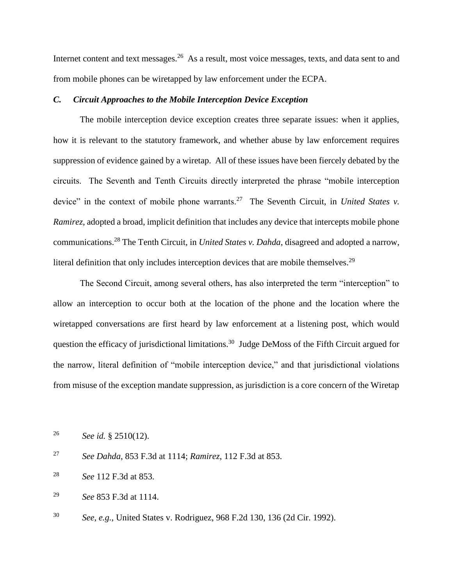Internet content and text messages.<sup>26</sup> As a result, most voice messages, texts, and data sent to and from mobile phones can be wiretapped by law enforcement under the ECPA.

## <span id="page-9-0"></span>*C. Circuit Approaches to the Mobile Interception Device Exception*

The mobile interception device exception creates three separate issues: when it applies, how it is relevant to the statutory framework, and whether abuse by law enforcement requires suppression of evidence gained by a wiretap. All of these issues have been fiercely debated by the circuits. The Seventh and Tenth Circuits directly interpreted the phrase "mobile interception device" in the context of mobile phone warrants.<sup>27</sup> The Seventh Circuit, in *United States v*. *Ramirez*, adopted a broad, implicit definition that includes any device that intercepts mobile phone communications.<sup>28</sup> The Tenth Circuit, in *United States v. Dahda*, disagreed and adopted a narrow, literal definition that only includes interception devices that are mobile themselves.<sup>29</sup>

The Second Circuit, among several others, has also interpreted the term "interception" to allow an interception to occur both at the location of the phone and the location where the wiretapped conversations are first heard by law enforcement at a listening post, which would question the efficacy of jurisdictional limitations.<sup>30</sup> Judge DeMoss of the Fifth Circuit argued for the narrow, literal definition of "mobile interception device," and that jurisdictional violations from misuse of the exception mandate suppression, as jurisdiction is a core concern of the Wiretap

<sup>26</sup> *See id.* § 2510(12).

<sup>27</sup> *See Dahda*, 853 F.3d at 1114; *Ramirez*, 112 F.3d at 853.

<sup>28</sup> *See* 112 F.3d at 853.

<sup>29</sup> *See* 853 F.3d at 1114.

<sup>30</sup> *See, e.g.*, United States v. Rodriguez, 968 F.2d 130, 136 (2d Cir. 1992).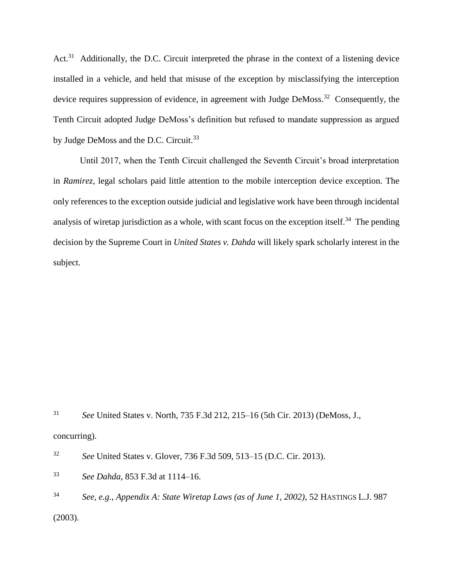Act.<sup>31</sup> Additionally, the D.C. Circuit interpreted the phrase in the context of a listening device installed in a vehicle, and held that misuse of the exception by misclassifying the interception device requires suppression of evidence, in agreement with Judge DeMoss.<sup>32</sup> Consequently, the Tenth Circuit adopted Judge DeMoss's definition but refused to mandate suppression as argued by Judge DeMoss and the D.C. Circuit.<sup>33</sup>

Until 2017, when the Tenth Circuit challenged the Seventh Circuit's broad interpretation in *Ramirez*, legal scholars paid little attention to the mobile interception device exception. The only references to the exception outside judicial and legislative work have been through incidental analysis of wiretap jurisdiction as a whole, with scant focus on the exception itself.<sup>34</sup> The pending decision by the Supreme Court in *United States v. Dahda* will likely spark scholarly interest in the subject.

<sup>31</sup> *See* United States v. North, 735 F.3d 212, 215–16 (5th Cir. 2013) (DeMoss, J., concurring).

<sup>32</sup> *See* United States v. Glover, 736 F.3d 509, 513–15 (D.C. Cir. 2013).

<sup>33</sup> *See Dahda*, 853 F.3d at 1114–16.

<sup>34</sup> *See, e.g.*, *Appendix A: State Wiretap Laws (as of June 1, 2002)*, 52 HASTINGS L.J. 987 (2003).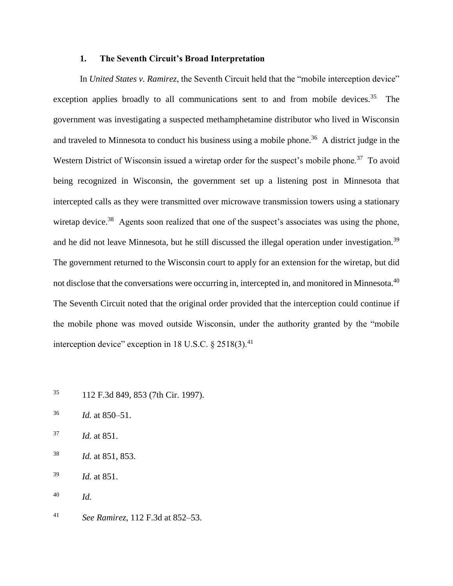#### **1. The Seventh Circuit's Broad Interpretation**

<span id="page-11-0"></span>In *United States v. Ramirez*, the Seventh Circuit held that the "mobile interception device" exception applies broadly to all communications sent to and from mobile devices.<sup>35</sup> The government was investigating a suspected methamphetamine distributor who lived in Wisconsin and traveled to Minnesota to conduct his business using a mobile phone.<sup>36</sup> A district judge in the Western District of Wisconsin issued a wiretap order for the suspect's mobile phone.<sup>37</sup> To avoid being recognized in Wisconsin, the government set up a listening post in Minnesota that intercepted calls as they were transmitted over microwave transmission towers using a stationary wiretap device.<sup>38</sup> Agents soon realized that one of the suspect's associates was using the phone, and he did not leave Minnesota, but he still discussed the illegal operation under investigation.<sup>39</sup> The government returned to the Wisconsin court to apply for an extension for the wiretap, but did not disclose that the conversations were occurring in, intercepted in, and monitored in Minnesota.<sup>40</sup> The Seventh Circuit noted that the original order provided that the interception could continue if the mobile phone was moved outside Wisconsin, under the authority granted by the "mobile interception device" exception in 18 U.S.C.  $\S 2518(3)$ .<sup>41</sup>

- <sup>35</sup> 112 F.3d 849, 853 (7th Cir. 1997).
- <sup>36</sup> *Id.* at 850–51.
- <sup>37</sup> *Id.* at 851.
- <sup>38</sup> *Id.* at 851, 853.

<sup>39</sup> *Id.* at 851.

<sup>40</sup> *Id.*

<sup>41</sup> *See Ramirez*, 112 F.3d at 852–53.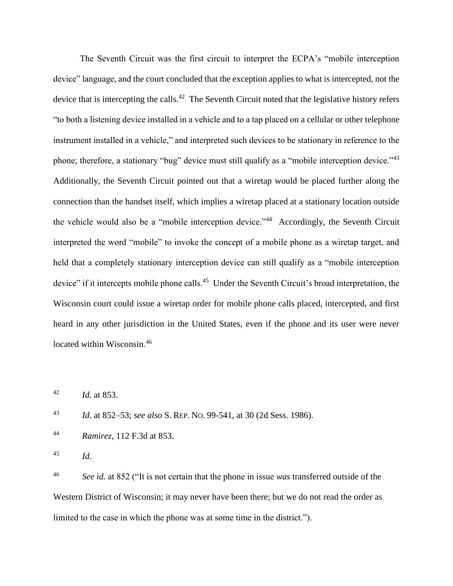The Seventh Circuit was the first circuit to interpret the ECPA's "mobile interception device" language, and the court concluded that the exception applies to what is intercepted, not the device that is intercepting the calls.<sup>42</sup> The Seventh Circuit noted that the legislative history refers "to both a listening device installed in a vehicle and to a tap placed on a cellular or other telephone instrument installed in a vehicle," and interpreted such devices to be stationary in reference to the phone; therefore, a stationary "bug" device must still qualify as a "mobile interception device."<sup>43</sup> Additionally, the Seventh Circuit pointed out that a wiretap would be placed further along the connection than the handset itself, which implies a wiretap placed at a stationary location outside the vehicle would also be a "mobile interception device."<sup>44</sup> Accordingly, the Seventh Circuit interpreted the word "mobile" to invoke the concept of a mobile phone as a wiretap target, and held that a completely stationary interception device can still qualify as a "mobile interception device" if it intercepts mobile phone calls.<sup>45</sup> Under the Seventh Circuit's broad interpretation, the Wisconsin court could issue a wiretap order for mobile phone calls placed, intercepted, and first heard in any other jurisdiction in the United States, even if the phone and its user were never located within Wisconsin.<sup>46</sup>

<sup>42</sup> *Id.* at 853.

<sup>43</sup> *Id.* at 852–53; *see also* S. REP. NO. 99-541, at 30 (2d Sess. 1986).

<sup>44</sup> *Ramirez*, 112 F.3d at 853.

<sup>45</sup> *Id.*

<sup>46</sup> *See id.* at 852 ("It is not certain that the phone in issue *was* transferred outside of the Western District of Wisconsin; it may never have been there; but we do not read the order as limited to the case in which the phone was at some time in the district.").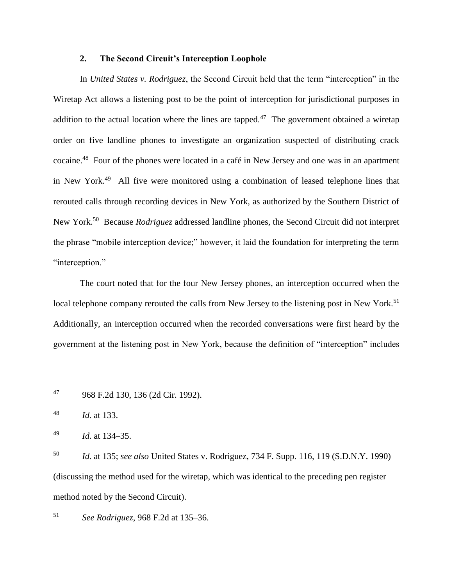# **2. The Second Circuit's Interception Loophole**

<span id="page-13-0"></span>In *United States v. Rodriguez*, the Second Circuit held that the term "interception" in the Wiretap Act allows a listening post to be the point of interception for jurisdictional purposes in addition to the actual location where the lines are tapped.<sup>47</sup> The government obtained a wiretap order on five landline phones to investigate an organization suspected of distributing crack cocaine.<sup>48</sup> Four of the phones were located in a café in New Jersey and one was in an apartment in New York.<sup>49</sup> All five were monitored using a combination of leased telephone lines that rerouted calls through recording devices in New York, as authorized by the Southern District of New York.<sup>50</sup> Because *Rodriguez* addressed landline phones, the Second Circuit did not interpret the phrase "mobile interception device;" however, it laid the foundation for interpreting the term "interception."

The court noted that for the four New Jersey phones, an interception occurred when the local telephone company rerouted the calls from New Jersey to the listening post in New York.<sup>51</sup> Additionally, an interception occurred when the recorded conversations were first heard by the government at the listening post in New York, because the definition of "interception" includes

<sup>47</sup> 968 F.2d 130, 136 (2d Cir. 1992).

<sup>48</sup> *Id.* at 133.

<sup>49</sup> *Id.* at 134–35.

<sup>50</sup> *Id.* at 135; *see also* United States v. Rodriguez, 734 F. Supp. 116, 119 (S.D.N.Y. 1990) (discussing the method used for the wiretap, which was identical to the preceding pen register method noted by the Second Circuit).

<sup>51</sup> *See Rodriguez*, 968 F.2d at 135–36.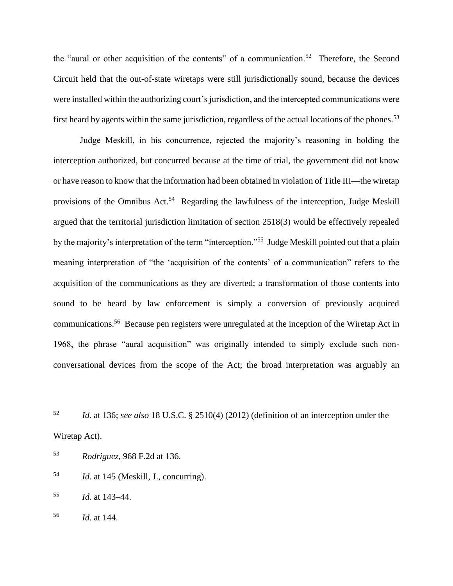the "aural or other acquisition of the contents" of a communication.<sup>52</sup> Therefore, the Second Circuit held that the out-of-state wiretaps were still jurisdictionally sound, because the devices were installed within the authorizing court's jurisdiction, and the intercepted communications were first heard by agents within the same jurisdiction, regardless of the actual locations of the phones.<sup>53</sup>

Judge Meskill, in his concurrence, rejected the majority's reasoning in holding the interception authorized, but concurred because at the time of trial, the government did not know or have reason to know that the information had been obtained in violation of Title III—the wiretap provisions of the Omnibus Act.<sup>54</sup> Regarding the lawfulness of the interception, Judge Meskill argued that the territorial jurisdiction limitation of section 2518(3) would be effectively repealed by the majority's interpretation of the term "interception."<sup>55</sup> Judge Meskill pointed out that a plain meaning interpretation of "the 'acquisition of the contents' of a communication" refers to the acquisition of the communications as they are diverted; a transformation of those contents into sound to be heard by law enforcement is simply a conversion of previously acquired communications.<sup>56</sup> Because pen registers were unregulated at the inception of the Wiretap Act in 1968, the phrase "aural acquisition" was originally intended to simply exclude such nonconversational devices from the scope of the Act; the broad interpretation was arguably an

<sup>52</sup> *Id.* at 136; *see also* 18 U.S.C. § 2510(4) (2012) (definition of an interception under the Wiretap Act).

- <sup>53</sup> *Rodriguez*, 968 F.2d at 136.
- <sup>54</sup> *Id.* at 145 (Meskill, J., concurring).
- <sup>55</sup> *Id.* at 143–44.
- <sup>56</sup> *Id.* at 144.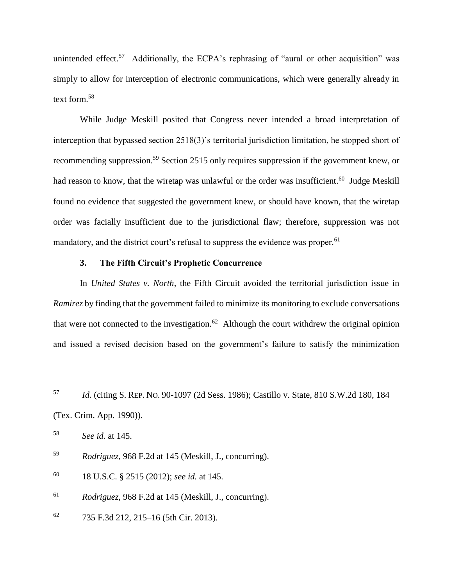unintended effect.<sup>57</sup> Additionally, the ECPA's rephrasing of "aural or other acquisition" was simply to allow for interception of electronic communications, which were generally already in text form.<sup>58</sup>

While Judge Meskill posited that Congress never intended a broad interpretation of interception that bypassed section 2518(3)'s territorial jurisdiction limitation, he stopped short of recommending suppression.<sup>59</sup> Section 2515 only requires suppression if the government knew, or had reason to know, that the wiretap was unlawful or the order was insufficient.<sup>60</sup> Judge Meskill found no evidence that suggested the government knew, or should have known, that the wiretap order was facially insufficient due to the jurisdictional flaw; therefore, suppression was not mandatory, and the district court's refusal to suppress the evidence was proper.<sup>61</sup>

# **3. The Fifth Circuit's Prophetic Concurrence**

<span id="page-15-0"></span>In *United States v. North*, the Fifth Circuit avoided the territorial jurisdiction issue in *Ramirez* by finding that the government failed to minimize its monitoring to exclude conversations that were not connected to the investigation.<sup>62</sup> Although the court withdrew the original opinion and issued a revised decision based on the government's failure to satisfy the minimization

<sup>57</sup> *Id.* (citing S. REP. NO. 90-1097 (2d Sess. 1986); Castillo v. State, 810 S.W.2d 180, 184 (Tex. Crim. App. 1990)).

<sup>58</sup> *See id.* at 145.

<sup>59</sup> *Rodriguez*, 968 F.2d at 145 (Meskill, J., concurring).

<sup>60</sup> 18 U.S.C. § 2515 (2012); *see id.* at 145.

<sup>61</sup> *Rodriguez*, 968 F.2d at 145 (Meskill, J., concurring).

 $62$  735 F.3d 212, 215–16 (5th Cir. 2013).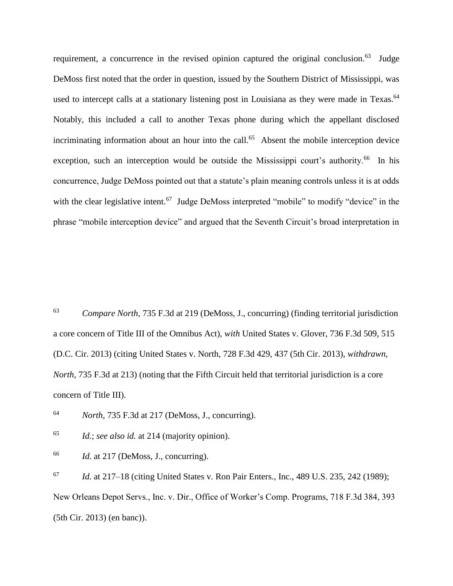requirement, a concurrence in the revised opinion captured the original conclusion.<sup>63</sup> Judge DeMoss first noted that the order in question, issued by the Southern District of Mississippi, was used to intercept calls at a stationary listening post in Louisiana as they were made in Texas.<sup>64</sup> Notably, this included a call to another Texas phone during which the appellant disclosed incriminating information about an hour into the call.<sup>65</sup> Absent the mobile interception device exception, such an interception would be outside the Mississippi court's authority.<sup>66</sup> In his concurrence, Judge DeMoss pointed out that a statute's plain meaning controls unless it is at odds with the clear legislative intent.<sup>67</sup> Judge DeMoss interpreted "mobile" to modify "device" in the phrase "mobile interception device" and argued that the Seventh Circuit's broad interpretation in

<sup>63</sup> *Compare North*, 735 F.3d at 219 (DeMoss, J., concurring) (finding territorial jurisdiction a core concern of Title III of the Omnibus Act), *with* United States v. Glover, 736 F.3d 509, 515 (D.C. Cir. 2013) (citing United States v. North, 728 F.3d 429, 437 (5th Cir. 2013), *withdrawn*, *North*, 735 F.3d at 213) (noting that the Fifth Circuit held that territorial jurisdiction is a core concern of Title III).

<sup>64</sup> *North*, 735 F.3d at 217 (DeMoss, J., concurring).

<sup>65</sup> *Id.*; *see also id.* at 214 (majority opinion).

<sup>66</sup> *Id.* at 217 (DeMoss, J., concurring).

<sup>67</sup> *Id.* at 217–18 (citing United States v. Ron Pair Enters., Inc., 489 U.S. 235, 242 (1989); New Orleans Depot Servs., Inc. v. Dir., Office of Worker's Comp. Programs, 718 F.3d 384, 393 (5th Cir. 2013) (en banc)).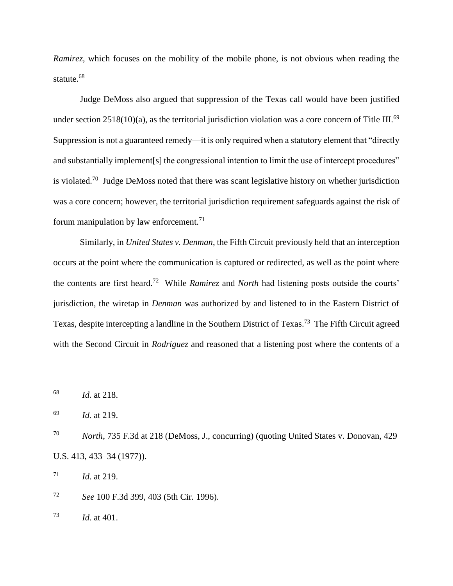*Ramirez*, which focuses on the mobility of the mobile phone, is not obvious when reading the statute.<sup>68</sup>

Judge DeMoss also argued that suppression of the Texas call would have been justified under section  $2518(10)(a)$ , as the territorial jurisdiction violation was a core concern of Title III.<sup>69</sup> Suppression is not a guaranteed remedy—it is only required when a statutory element that "directly and substantially implement [s] the congressional intention to limit the use of intercept procedures" is violated.<sup>70</sup> Judge DeMoss noted that there was scant legislative history on whether jurisdiction was a core concern; however, the territorial jurisdiction requirement safeguards against the risk of forum manipulation by law enforcement.<sup>71</sup>

Similarly, in *United States v. Denman*, the Fifth Circuit previously held that an interception occurs at the point where the communication is captured or redirected, as well as the point where the contents are first heard.<sup>72</sup> While *Ramirez* and *North* had listening posts outside the courts' jurisdiction, the wiretap in *Denman* was authorized by and listened to in the Eastern District of Texas, despite intercepting a landline in the Southern District of Texas.<sup>73</sup> The Fifth Circuit agreed with the Second Circuit in *Rodriguez* and reasoned that a listening post where the contents of a

<sup>68</sup> *Id.* at 218.

<sup>69</sup> *Id.* at 219.

<sup>70</sup> *North*, 735 F.3d at 218 (DeMoss, J., concurring) (quoting United States v. Donovan, 429 U.S. 413, 433–34 (1977)).

 $1^{71}$  *Id.* at 219.

<sup>72</sup> *See* 100 F.3d 399, 403 (5th Cir. 1996).

<sup>73</sup> *Id.* at 401.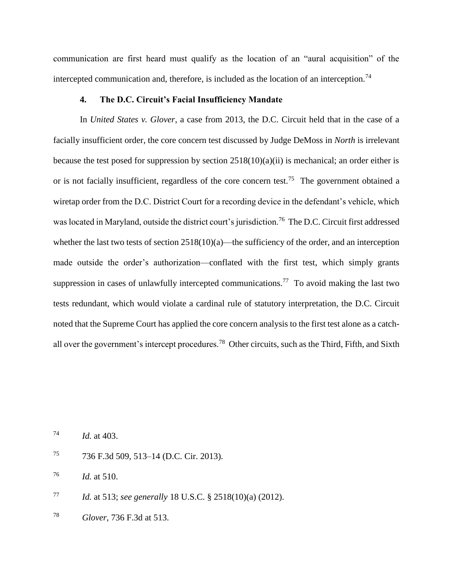communication are first heard must qualify as the location of an "aural acquisition" of the intercepted communication and, therefore, is included as the location of an interception.<sup>74</sup>

## **4. The D.C. Circuit's Facial Insufficiency Mandate**

<span id="page-18-0"></span>In *United States v. Glover*, a case from 2013, the D.C. Circuit held that in the case of a facially insufficient order, the core concern test discussed by Judge DeMoss in *North* is irrelevant because the test posed for suppression by section 2518(10)(a)(ii) is mechanical; an order either is or is not facially insufficient, regardless of the core concern test.<sup>75</sup> The government obtained a wiretap order from the D.C. District Court for a recording device in the defendant's vehicle, which was located in Maryland, outside the district court's jurisdiction.<sup>76</sup> The D.C. Circuit first addressed whether the last two tests of section  $2518(10)(a)$ —the sufficiency of the order, and an interception made outside the order's authorization—conflated with the first test, which simply grants suppression in cases of unlawfully intercepted communications.<sup>77</sup> To avoid making the last two tests redundant, which would violate a cardinal rule of statutory interpretation, the D.C. Circuit noted that the Supreme Court has applied the core concern analysis to the first test alone as a catchall over the government's intercept procedures.<sup>78</sup> Other circuits, such as the Third, Fifth, and Sixth

<sup>74</sup> *Id.* at 403.

<sup>75</sup> 736 F.3d 509, 513–14 (D.C. Cir. 2013).

<sup>76</sup> *Id.* at 510.

- <sup>77</sup> *Id.* at 513; *see generally* 18 U.S.C. § 2518(10)(a) (2012).
- <sup>78</sup> *Glover*, 736 F.3d at 513.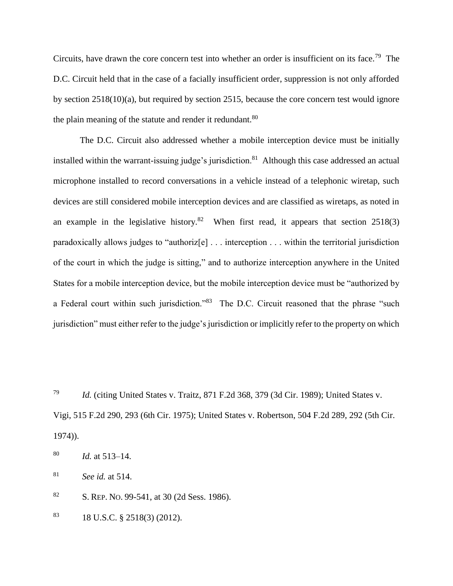Circuits, have drawn the core concern test into whether an order is insufficient on its face.<sup>79</sup> The D.C. Circuit held that in the case of a facially insufficient order, suppression is not only afforded by section 2518(10)(a), but required by section 2515, because the core concern test would ignore the plain meaning of the statute and render it redundant.<sup>80</sup>

The D.C. Circuit also addressed whether a mobile interception device must be initially installed within the warrant-issuing judge's jurisdiction.<sup>81</sup> Although this case addressed an actual microphone installed to record conversations in a vehicle instead of a telephonic wiretap, such devices are still considered mobile interception devices and are classified as wiretaps, as noted in an example in the legislative history.<sup>82</sup> When first read, it appears that section  $2518(3)$ paradoxically allows judges to "authoriz[e] . . . interception . . . within the territorial jurisdiction of the court in which the judge is sitting," and to authorize interception anywhere in the United States for a mobile interception device, but the mobile interception device must be "authorized by a Federal court within such jurisdiction."<sup>83</sup> The D.C. Circuit reasoned that the phrase "such jurisdiction" must either refer to the judge's jurisdiction or implicitly refer to the property on which

<sup>79</sup> *Id.* (citing United States v. Traitz, 871 F.2d 368, 379 (3d Cir. 1989); United States v. Vigi, 515 F.2d 290, 293 (6th Cir. 1975); United States v. Robertson, 504 F.2d 289, 292 (5th Cir. 1974)).

<sup>80</sup> *Id.* at 513–14.

<sup>81</sup> *See id.* at 514.

<sup>82</sup> S. REP. NO. 99-541, at 30 (2d Sess. 1986).

 $83$  18 U.S.C. § 2518(3) (2012).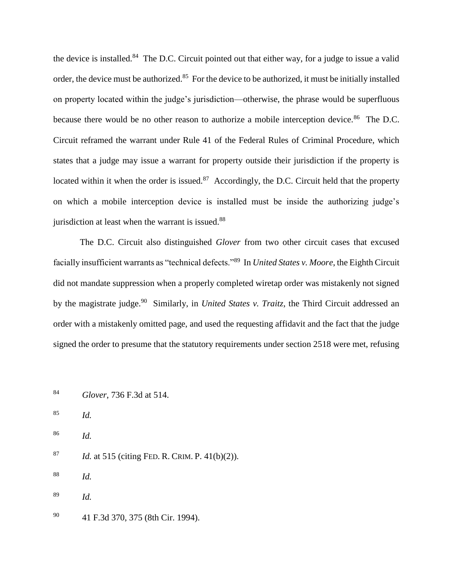the device is installed.<sup>84</sup> The D.C. Circuit pointed out that either way, for a judge to issue a valid order, the device must be authorized.<sup>85</sup> For the device to be authorized, it must be initially installed on property located within the judge's jurisdiction—otherwise, the phrase would be superfluous because there would be no other reason to authorize a mobile interception device.<sup>86</sup> The D.C. Circuit reframed the warrant under Rule 41 of the Federal Rules of Criminal Procedure, which states that a judge may issue a warrant for property outside their jurisdiction if the property is located within it when the order is issued. $87$  Accordingly, the D.C. Circuit held that the property on which a mobile interception device is installed must be inside the authorizing judge's jurisdiction at least when the warrant is issued.<sup>88</sup>

The D.C. Circuit also distinguished *Glover* from two other circuit cases that excused facially insufficient warrants as "technical defects."<sup>89</sup> In *United States v. Moore*, the Eighth Circuit did not mandate suppression when a properly completed wiretap order was mistakenly not signed by the magistrate judge.<sup>90</sup> Similarly, in *United States v. Traitz*, the Third Circuit addressed an order with a mistakenly omitted page, and used the requesting affidavit and the fact that the judge signed the order to presume that the statutory requirements under section 2518 were met, refusing

<sup>84</sup> *Glover*, 736 F.3d at 514.

- <sup>85</sup> *Id.*
- <sup>86</sup> *Id.*
- <sup>87</sup> *Id.* at 515 (citing FED. R. CRIM. P. 41(b)(2)).
- <sup>88</sup> *Id.*
- <sup>89</sup> *Id.*
- <sup>90</sup> 41 F.3d 370, 375 (8th Cir. 1994).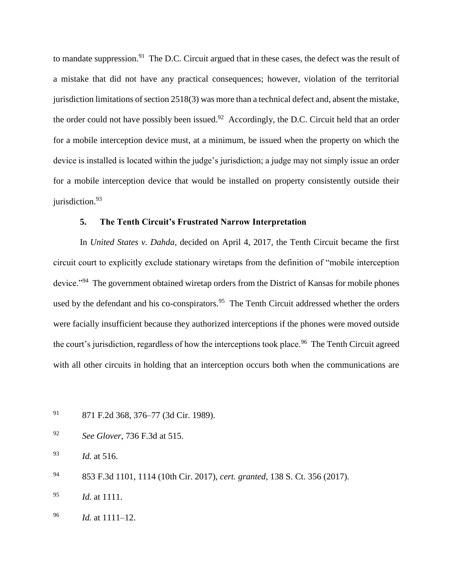to mandate suppression.<sup>91</sup> The D.C. Circuit argued that in these cases, the defect was the result of a mistake that did not have any practical consequences; however, violation of the territorial jurisdiction limitations of section 2518(3) was more than a technical defect and, absent the mistake, the order could not have possibly been issued.<sup>92</sup> Accordingly, the D.C. Circuit held that an order for a mobile interception device must, at a minimum, be issued when the property on which the device is installed is located within the judge's jurisdiction; a judge may not simply issue an order for a mobile interception device that would be installed on property consistently outside their jurisdiction.<sup>93</sup>

# **5. The Tenth Circuit's Frustrated Narrow Interpretation**

<span id="page-21-0"></span>In *United States v. Dahda*, decided on April 4, 2017, the Tenth Circuit became the first circuit court to explicitly exclude stationary wiretaps from the definition of "mobile interception device."<sup>94</sup> The government obtained wiretap orders from the District of Kansas for mobile phones used by the defendant and his co-conspirators.<sup>95</sup> The Tenth Circuit addressed whether the orders were facially insufficient because they authorized interceptions if the phones were moved outside the court's jurisdiction, regardless of how the interceptions took place.<sup>96</sup> The Tenth Circuit agreed with all other circuits in holding that an interception occurs both when the communications are

<sup>93</sup> *Id.* at 516.

<sup>94</sup> 853 F.3d 1101, 1114 (10th Cir. 2017), *cert. granted*, 138 S. Ct. 356 (2017).

<sup>95</sup> *Id.* at 1111.

<sup>96</sup> *Id.* at 1111–12.

<sup>91</sup> 871 F.2d 368, 376–77 (3d Cir. 1989).

<sup>92</sup> *See Glover*, 736 F.3d at 515.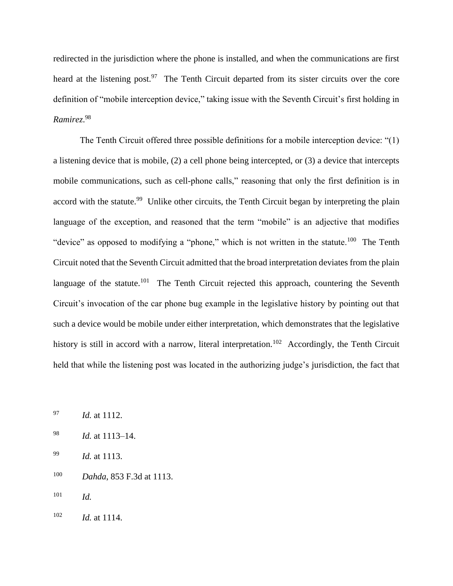redirected in the jurisdiction where the phone is installed, and when the communications are first heard at the listening post.<sup>97</sup> The Tenth Circuit departed from its sister circuits over the core definition of "mobile interception device," taking issue with the Seventh Circuit's first holding in *Ramirez*. 98

The Tenth Circuit offered three possible definitions for a mobile interception device: "(1) a listening device that is mobile, (2) a cell phone being intercepted, or (3) a device that intercepts mobile communications, such as cell-phone calls," reasoning that only the first definition is in accord with the statute.<sup>99</sup> Unlike other circuits, the Tenth Circuit began by interpreting the plain language of the exception, and reasoned that the term "mobile" is an adjective that modifies "device" as opposed to modifying a "phone," which is not written in the statute.<sup>100</sup> The Tenth Circuit noted that the Seventh Circuit admitted that the broad interpretation deviates from the plain language of the statute.<sup>101</sup> The Tenth Circuit rejected this approach, countering the Seventh Circuit's invocation of the car phone bug example in the legislative history by pointing out that such a device would be mobile under either interpretation, which demonstrates that the legislative history is still in accord with a narrow, literal interpretation.<sup>102</sup> Accordingly, the Tenth Circuit held that while the listening post was located in the authorizing judge's jurisdiction, the fact that

- <sup>97</sup> *Id.* at 1112.
- <sup>98</sup> *Id.* at 1113–14.
- <sup>99</sup> *Id.* at 1113.
- <sup>100</sup> *Dahda*, 853 F.3d at 1113.
- <sup>101</sup> *Id.*
- <sup>102</sup> *Id.* at 1114.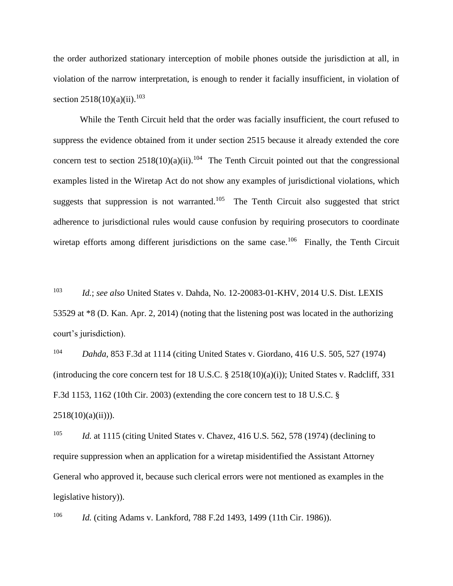the order authorized stationary interception of mobile phones outside the jurisdiction at all, in violation of the narrow interpretation, is enough to render it facially insufficient, in violation of section  $2518(10)(a)(ii)$ .<sup>103</sup>

While the Tenth Circuit held that the order was facially insufficient, the court refused to suppress the evidence obtained from it under section 2515 because it already extended the core concern test to section  $2518(10)(a)(ii)$ .<sup>104</sup> The Tenth Circuit pointed out that the congressional examples listed in the Wiretap Act do not show any examples of jurisdictional violations, which suggests that suppression is not warranted.<sup>105</sup> The Tenth Circuit also suggested that strict adherence to jurisdictional rules would cause confusion by requiring prosecutors to coordinate wiretap efforts among different jurisdictions on the same case.<sup>106</sup> Finally, the Tenth Circuit

<sup>103</sup> *Id.*; *see also* United States v. Dahda, No. 12-20083-01-KHV, 2014 U.S. Dist. LEXIS 53529 at \*8 (D. Kan. Apr. 2, 2014) (noting that the listening post was located in the authorizing court's jurisdiction).

<sup>104</sup> *Dahda*, 853 F.3d at 1114 (citing United States v. Giordano, 416 U.S. 505, 527 (1974) (introducing the core concern test for 18 U.S.C.  $\S$  2518(10)(a)(i)); United States v. Radcliff, 331 F.3d 1153, 1162 (10th Cir. 2003) (extending the core concern test to 18 U.S.C. §  $2518(10)(a)(ii))$ ).

<sup>105</sup> *Id.* at 1115 (citing United States v. Chavez, 416 U.S. 562, 578 (1974) (declining to require suppression when an application for a wiretap misidentified the Assistant Attorney General who approved it, because such clerical errors were not mentioned as examples in the legislative history)).

<sup>106</sup> *Id.* (citing Adams v. Lankford, 788 F.2d 1493, 1499 (11th Cir. 1986)).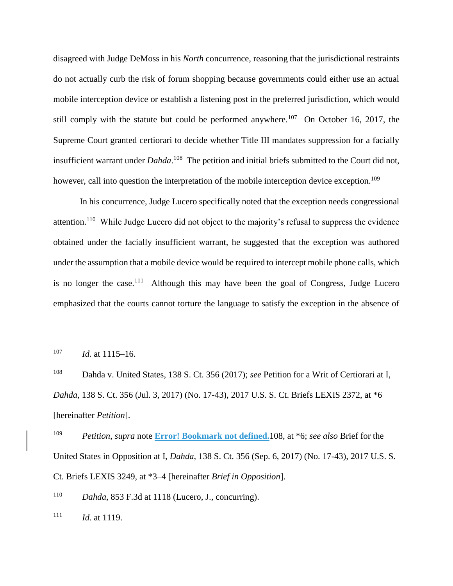disagreed with Judge DeMoss in his *North* concurrence, reasoning that the jurisdictional restraints do not actually curb the risk of forum shopping because governments could either use an actual mobile interception device or establish a listening post in the preferred jurisdiction, which would still comply with the statute but could be performed anywhere.<sup>107</sup> On October 16, 2017, the Supreme Court granted certiorari to decide whether Title III mandates suppression for a facially insufficient warrant under *Dahda*. 108 The petition and initial briefs submitted to the Court did not, however, call into question the interpretation of the mobile interception device exception.<sup>109</sup>

In his concurrence, Judge Lucero specifically noted that the exception needs congressional attention.<sup>110</sup> While Judge Lucero did not object to the majority's refusal to suppress the evidence obtained under the facially insufficient warrant, he suggested that the exception was authored under the assumption that a mobile device would be required to intercept mobile phone calls, which is no longer the case.<sup>111</sup> Although this may have been the goal of Congress, Judge Lucero emphasized that the courts cannot torture the language to satisfy the exception in the absence of

<sup>107</sup> *Id.* at 1115–16.

<sup>108</sup> Dahda v. United States, 138 S. Ct. 356 (2017); *see* Petition for a Writ of Certiorari at I, *Dahda*, 138 S. Ct. 356 (Jul. 3, 2017) (No. 17-43), 2017 U.S. S. Ct. Briefs LEXIS 2372, at \*6 [hereinafter *Petition*].

<sup>109</sup> *Petition*, *supra* note **Error! Bookmark not defined.**108, at \*6; *see also* Brief for the United States in Opposition at I, *Dahda*, 138 S. Ct. 356 (Sep. 6, 2017) (No. 17-43), 2017 U.S. S. Ct. Briefs LEXIS 3249, at \*3–4 [hereinafter *Brief in Opposition*].

<sup>110</sup> *Dahda*, 853 F.3d at 1118 (Lucero, J., concurring).

 $111$  *Id.* at 1119.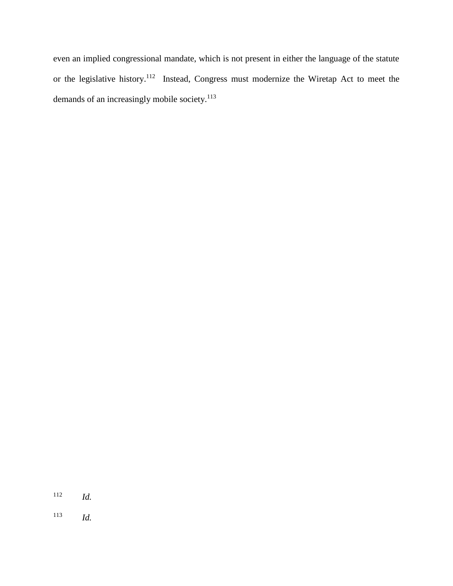even an implied congressional mandate, which is not present in either the language of the statute or the legislative history.<sup>112</sup> Instead, Congress must modernize the Wiretap Act to meet the demands of an increasingly mobile society.<sup>113</sup>

<sup>112</sup> *Id.*

<sup>113</sup> *Id.*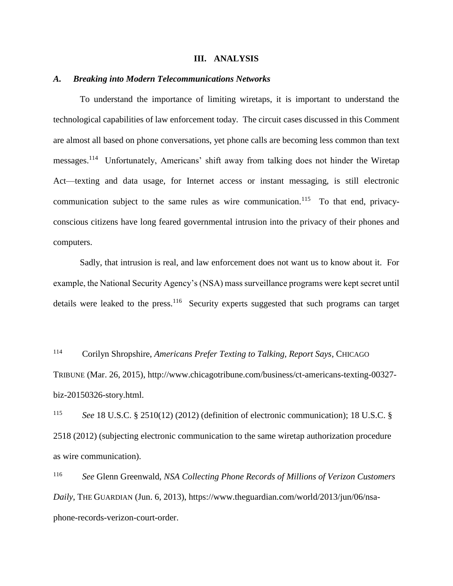#### **III. ANALYSIS**

#### <span id="page-26-1"></span><span id="page-26-0"></span>*A. Breaking into Modern Telecommunications Networks*

To understand the importance of limiting wiretaps, it is important to understand the technological capabilities of law enforcement today. The circuit cases discussed in this Comment are almost all based on phone conversations, yet phone calls are becoming less common than text messages.<sup>114</sup> Unfortunately, Americans' shift away from talking does not hinder the Wiretap Act—texting and data usage, for Internet access or instant messaging, is still electronic communication subject to the same rules as wire communication.<sup>115</sup> To that end, privacyconscious citizens have long feared governmental intrusion into the privacy of their phones and computers.

Sadly, that intrusion is real, and law enforcement does not want us to know about it. For example, the National Security Agency's (NSA) mass surveillance programs were kept secret until details were leaked to the press.<sup>116</sup> Security experts suggested that such programs can target

<sup>114</sup> Corilyn Shropshire, *Americans Prefer Texting to Talking, Report Says*, CHICAGO TRIBUNE (Mar. 26, 2015), http://www.chicagotribune.com/business/ct-americans-texting-00327 biz-20150326-story.html.

<sup>115</sup> *See* 18 U.S.C. § 2510(12) (2012) (definition of electronic communication); 18 U.S.C. § 2518 (2012) (subjecting electronic communication to the same wiretap authorization procedure as wire communication).

<sup>116</sup> *See* Glenn Greenwald, *NSA Collecting Phone Records of Millions of Verizon Customers Daily*, THE GUARDIAN (Jun. 6, 2013), https://www.theguardian.com/world/2013/jun/06/nsaphone-records-verizon-court-order.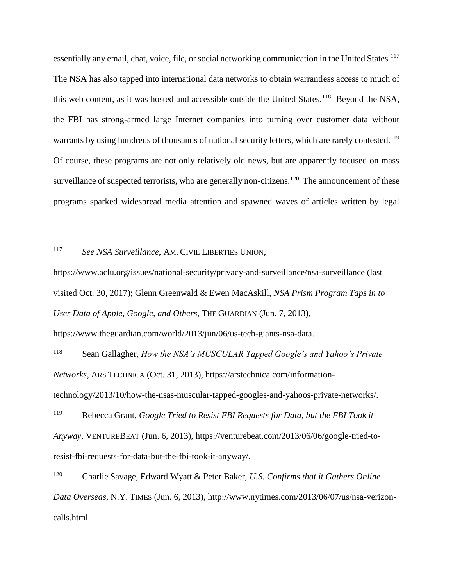essentially any email, chat, voice, file, or social networking communication in the United States.<sup>117</sup> The NSA has also tapped into international data networks to obtain warrantless access to much of this web content, as it was hosted and accessible outside the United States.<sup>118</sup> Beyond the NSA, the FBI has strong-armed large Internet companies into turning over customer data without warrants by using hundreds of thousands of national security letters, which are rarely contested.<sup>119</sup> Of course, these programs are not only relatively old news, but are apparently focused on mass surveillance of suspected terrorists, who are generally non-citizens.<sup>120</sup> The announcement of these programs sparked widespread media attention and spawned waves of articles written by legal

# <sup>117</sup> *See NSA Surveillance*, AM. CIVIL LIBERTIES UNION,

https://www.aclu.org/issues/national-security/privacy-and-surveillance/nsa-surveillance (last visited Oct. 30, 2017); Glenn Greenwald & Ewen MacAskill, *NSA Prism Program Taps in to User Data of Apple, Google, and Others*, THE GUARDIAN (Jun. 7, 2013),

https://www.theguardian.com/world/2013/jun/06/us-tech-giants-nsa-data.

<sup>118</sup> Sean Gallagher, *How the NSA's MUSCULAR Tapped Google's and Yahoo's Private Networks*, ARS TECHNICA (Oct. 31, 2013), https://arstechnica.com/informationtechnology/2013/10/how-the-nsas-muscular-tapped-googles-and-yahoos-private-networks/.

<sup>119</sup> Rebecca Grant, *Google Tried to Resist FBI Requests for Data, but the FBI Took it Anyway*, VENTUREBEAT (Jun. 6, 2013), https://venturebeat.com/2013/06/06/google-tried-toresist-fbi-requests-for-data-but-the-fbi-took-it-anyway/.

<sup>120</sup> Charlie Savage, Edward Wyatt & Peter Baker, *U.S. Confirms that it Gathers Online Data Overseas*, N.Y. TIMES (Jun. 6, 2013), http://www.nytimes.com/2013/06/07/us/nsa-verizoncalls.html.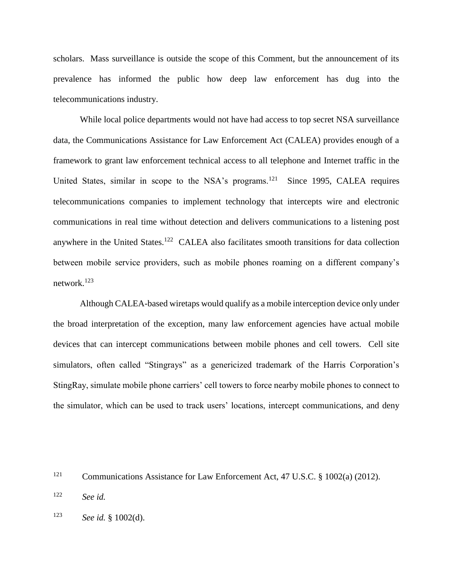scholars. Mass surveillance is outside the scope of this Comment, but the announcement of its prevalence has informed the public how deep law enforcement has dug into the telecommunications industry.

While local police departments would not have had access to top secret NSA surveillance data, the Communications Assistance for Law Enforcement Act (CALEA) provides enough of a framework to grant law enforcement technical access to all telephone and Internet traffic in the United States, similar in scope to the NSA's programs.<sup>121</sup> Since 1995, CALEA requires telecommunications companies to implement technology that intercepts wire and electronic communications in real time without detection and delivers communications to a listening post anywhere in the United States.<sup>122</sup> CALEA also facilitates smooth transitions for data collection between mobile service providers, such as mobile phones roaming on a different company's network.<sup>123</sup>

Although CALEA-based wiretaps would qualify as a mobile interception device only under the broad interpretation of the exception, many law enforcement agencies have actual mobile devices that can intercept communications between mobile phones and cell towers. Cell site simulators, often called "Stingrays" as a genericized trademark of the Harris Corporation's StingRay, simulate mobile phone carriers' cell towers to force nearby mobile phones to connect to the simulator, which can be used to track users' locations, intercept communications, and deny

<sup>121</sup> Communications Assistance for Law Enforcement Act, 47 U.S.C. § 1002(a) (2012).

<sup>122</sup> *See id.*

<sup>123</sup> *See id.* § 1002(d).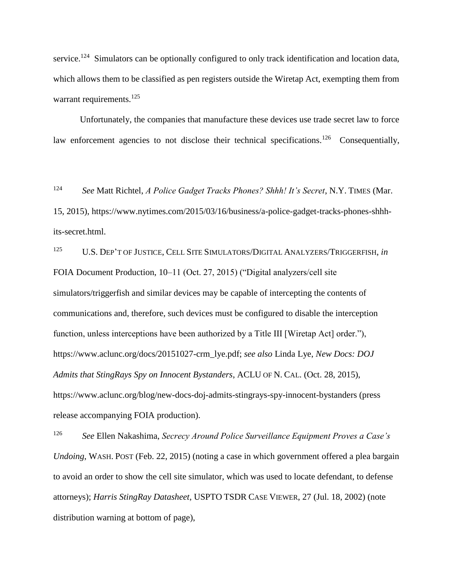service.<sup>124</sup> Simulators can be optionally configured to only track identification and location data, which allows them to be classified as pen registers outside the Wiretap Act, exempting them from warrant requirements.<sup>125</sup>

Unfortunately, the companies that manufacture these devices use trade secret law to force law enforcement agencies to not disclose their technical specifications.<sup>126</sup> Consequentially,

<sup>124</sup> *See* Matt Richtel, *A Police Gadget Tracks Phones? Shhh! It's Secret*, N.Y. TIMES (Mar. 15, 2015), https://www.nytimes.com/2015/03/16/business/a-police-gadget-tracks-phones-shhhits-secret.html.

<sup>125</sup> U.S. DEP'T OF JUSTICE, CELL SITE SIMULATORS/DIGITAL ANALYZERS/TRIGGERFISH, *in* FOIA Document Production, 10–11 (Oct. 27, 2015) ("Digital analyzers/cell site simulators/triggerfish and similar devices may be capable of intercepting the contents of communications and, therefore, such devices must be configured to disable the interception function, unless interceptions have been authorized by a Title III [Wiretap Act] order."), https://www.aclunc.org/docs/20151027-crm\_lye.pdf; *see also* Linda Lye, *New Docs: DOJ Admits that StingRays Spy on Innocent Bystanders*, ACLU OF N. CAL. (Oct. 28, 2015), https://www.aclunc.org/blog/new-docs-doj-admits-stingrays-spy-innocent-bystanders (press release accompanying FOIA production).

<sup>126</sup> *See* Ellen Nakashima, *Secrecy Around Police Surveillance Equipment Proves a Case's Undoing*, WASH. POST (Feb. 22, 2015) (noting a case in which government offered a plea bargain to avoid an order to show the cell site simulator, which was used to locate defendant, to defense attorneys); *Harris StingRay Datasheet*, USPTO TSDR CASE VIEWER, 27 (Jul. 18, 2002) (note distribution warning at bottom of page),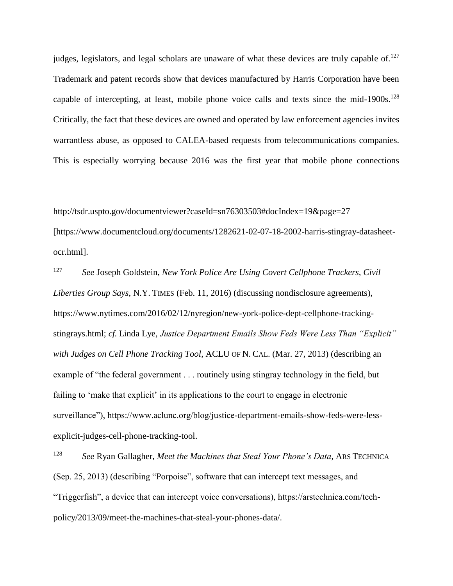judges, legislators, and legal scholars are unaware of what these devices are truly capable of.<sup>127</sup> Trademark and patent records show that devices manufactured by Harris Corporation have been capable of intercepting, at least, mobile phone voice calls and texts since the mid-1900s.<sup>128</sup> Critically, the fact that these devices are owned and operated by law enforcement agencies invites warrantless abuse, as opposed to CALEA-based requests from telecommunications companies. This is especially worrying because 2016 was the first year that mobile phone connections

http://tsdr.uspto.gov/documentviewer?caseId=sn76303503#docIndex=19&page=27 [https://www.documentcloud.org/documents/1282621-02-07-18-2002-harris-stingray-datasheetocr.html].

<sup>127</sup> *See* Joseph Goldstein, *New York Police Are Using Covert Cellphone Trackers, Civil Liberties Group Says*, N.Y. TIMES (Feb. 11, 2016) (discussing nondisclosure agreements), https://www.nytimes.com/2016/02/12/nyregion/new-york-police-dept-cellphone-trackingstingrays.html; *cf.* Linda Lye, *Justice Department Emails Show Feds Were Less Than "Explicit" with Judges on Cell Phone Tracking Tool*, ACLU OF N. CAL. (Mar. 27, 2013) (describing an example of "the federal government . . . routinely using stingray technology in the field, but failing to 'make that explicit' in its applications to the court to engage in electronic surveillance"), https://www.aclunc.org/blog/justice-department-emails-show-feds-were-lessexplicit-judges-cell-phone-tracking-tool.

<sup>128</sup> *See* Ryan Gallagher, *Meet the Machines that Steal Your Phone's Data*, ARS TECHNICA (Sep. 25, 2013) (describing "Porpoise", software that can intercept text messages, and "Triggerfish", a device that can intercept voice conversations), https://arstechnica.com/techpolicy/2013/09/meet-the-machines-that-steal-your-phones-data/.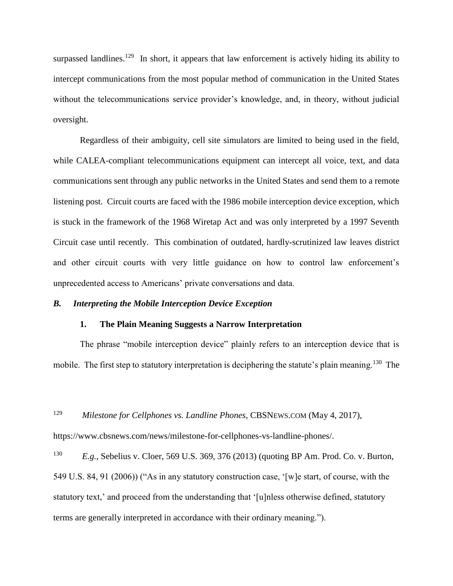surpassed landlines.<sup>129</sup> In short, it appears that law enforcement is actively hiding its ability to intercept communications from the most popular method of communication in the United States without the telecommunications service provider's knowledge, and, in theory, without judicial oversight.

Regardless of their ambiguity, cell site simulators are limited to being used in the field, while CALEA-compliant telecommunications equipment can intercept all voice, text, and data communications sent through any public networks in the United States and send them to a remote listening post. Circuit courts are faced with the 1986 mobile interception device exception, which is stuck in the framework of the 1968 Wiretap Act and was only interpreted by a 1997 Seventh Circuit case until recently. This combination of outdated, hardly-scrutinized law leaves district and other circuit courts with very little guidance on how to control law enforcement's unprecedented access to Americans' private conversations and data.

#### <span id="page-31-1"></span><span id="page-31-0"></span>*B. Interpreting the Mobile Interception Device Exception*

#### **1. The Plain Meaning Suggests a Narrow Interpretation**

The phrase "mobile interception device" plainly refers to an interception device that is mobile. The first step to statutory interpretation is deciphering the statute's plain meaning.<sup>130</sup> The

<sup>129</sup> *Milestone for Cellphones vs. Landline Phones*, CBSNEWS.COM (May 4, 2017),

https://www.cbsnews.com/news/milestone-for-cellphones-vs-landline-phones/.

<sup>130</sup> *E.g.*, Sebelius v. Cloer, 569 U.S. 369, 376 (2013) (quoting BP Am. Prod. Co. v. Burton, 549 U.S. 84, 91 (2006)) ("As in any statutory construction case, '[w]e start, of course, with the statutory text,' and proceed from the understanding that '[u]nless otherwise defined, statutory terms are generally interpreted in accordance with their ordinary meaning.").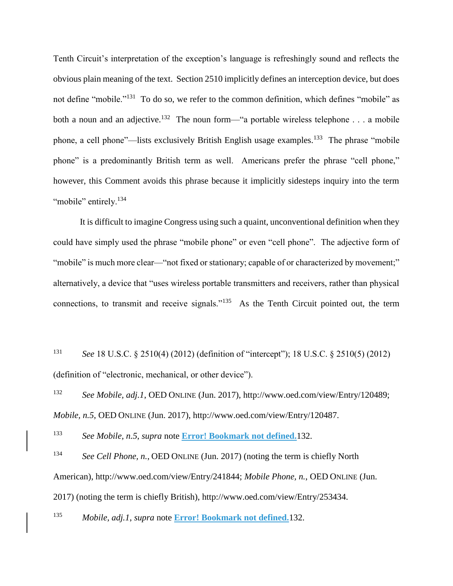Tenth Circuit's interpretation of the exception's language is refreshingly sound and reflects the obvious plain meaning of the text. Section 2510 implicitly defines an interception device, but does not define "mobile."<sup>131</sup> To do so, we refer to the common definition, which defines "mobile" as both a noun and an adjective.<sup>132</sup> The noun form—"a portable wireless telephone . . . a mobile phone, a cell phone"—lists exclusively British English usage examples.<sup>133</sup> The phrase "mobile" phone" is a predominantly British term as well. Americans prefer the phrase "cell phone," however, this Comment avoids this phrase because it implicitly sidesteps inquiry into the term "mobile" entirely.<sup>134</sup>

It is difficult to imagine Congress using such a quaint, unconventional definition when they could have simply used the phrase "mobile phone" or even "cell phone". The adjective form of "mobile" is much more clear—"not fixed or stationary; capable of or characterized by movement;" alternatively, a device that "uses wireless portable transmitters and receivers, rather than physical connections, to transmit and receive signals."<sup>135</sup> As the Tenth Circuit pointed out, the term

<sup>131</sup> *See* 18 U.S.C. § 2510(4) (2012) (definition of "intercept"); 18 U.S.C. § 2510(5) (2012) (definition of "electronic, mechanical, or other device").

<sup>132</sup> *See Mobile, adj.1*, OED ONLINE (Jun. 2017), http://www.oed.com/view/Entry/120489; *Mobile, n.5*, OED ONLINE (Jun. 2017), http://www.oed.com/view/Entry/120487.

<sup>133</sup> *See Mobile, n.5*, *supra* note **Error! Bookmark not defined.**132.

<sup>134</sup> *See Cell Phone, n.*, OED ONLINE (Jun. 2017) (noting the term is chiefly North American), http://www.oed.com/view/Entry/241844; *Mobile Phone, n.*, OED ONLINE (Jun. 2017) (noting the term is chiefly British), http://www.oed.com/view/Entry/253434.

<sup>135</sup> *Mobile, adj.1*, *supra* note **Error! Bookmark not defined.**132.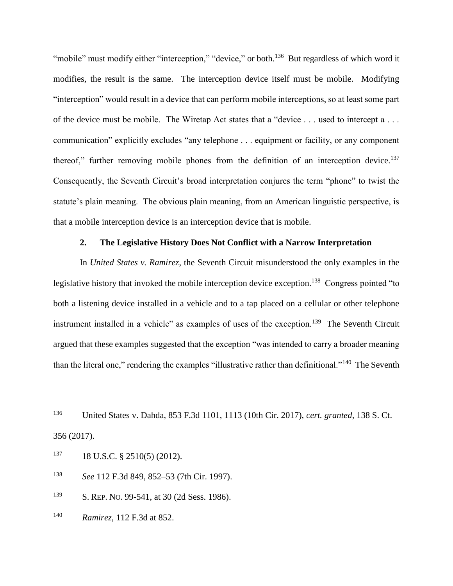"mobile" must modify either "interception," "device," or both.<sup>136</sup> But regardless of which word it modifies, the result is the same. The interception device itself must be mobile. Modifying "interception" would result in a device that can perform mobile interceptions, so at least some part of the device must be mobile. The Wiretap Act states that a "device . . . used to intercept a . . . communication" explicitly excludes "any telephone . . . equipment or facility, or any component thereof," further removing mobile phones from the definition of an interception device.<sup>137</sup> Consequently, the Seventh Circuit's broad interpretation conjures the term "phone" to twist the statute's plain meaning. The obvious plain meaning, from an American linguistic perspective, is that a mobile interception device is an interception device that is mobile.

## **2. The Legislative History Does Not Conflict with a Narrow Interpretation**

<span id="page-33-0"></span>In *United States v. Ramirez*, the Seventh Circuit misunderstood the only examples in the legislative history that invoked the mobile interception device exception.<sup>138</sup> Congress pointed "to both a listening device installed in a vehicle and to a tap placed on a cellular or other telephone instrument installed in a vehicle" as examples of uses of the exception.<sup>139</sup> The Seventh Circuit argued that these examples suggested that the exception "was intended to carry a broader meaning than the literal one," rendering the examples "illustrative rather than definitional."<sup>140</sup> The Seventh

<sup>136</sup> United States v. Dahda, 853 F.3d 1101, 1113 (10th Cir. 2017), *cert. granted*, 138 S. Ct. 356 (2017).

 $137$  18 U.S.C. § 2510(5) (2012).

<sup>138</sup> *See* 112 F.3d 849, 852–53 (7th Cir. 1997).

<sup>139</sup> S. REP. NO. 99-541, at 30 (2d Sess. 1986).

<sup>140</sup> *Ramirez*, 112 F.3d at 852.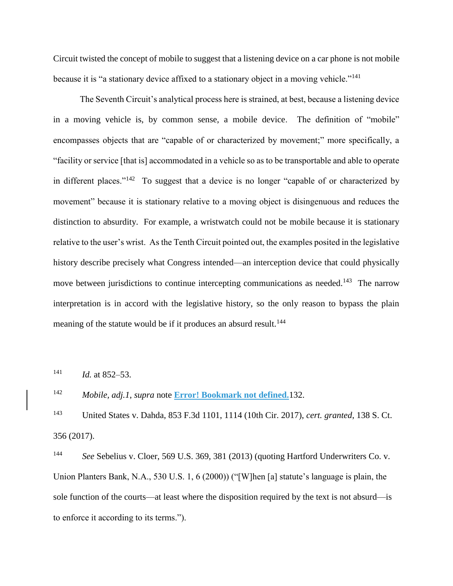Circuit twisted the concept of mobile to suggest that a listening device on a car phone is not mobile because it is "a stationary device affixed to a stationary object in a moving vehicle."<sup>141</sup>

The Seventh Circuit's analytical process here is strained, at best, because a listening device in a moving vehicle is, by common sense, a mobile device. The definition of "mobile" encompasses objects that are "capable of or characterized by movement;" more specifically, a "facility or service [that is] accommodated in a vehicle so as to be transportable and able to operate in different places."<sup>142</sup> To suggest that a device is no longer "capable of or characterized by movement" because it is stationary relative to a moving object is disingenuous and reduces the distinction to absurdity. For example, a wristwatch could not be mobile because it is stationary relative to the user's wrist. As the Tenth Circuit pointed out, the examples posited in the legislative history describe precisely what Congress intended—an interception device that could physically move between jurisdictions to continue intercepting communications as needed.<sup>143</sup> The narrow interpretation is in accord with the legislative history, so the only reason to bypass the plain meaning of the statute would be if it produces an absurd result.<sup>144</sup>

<sup>141</sup> *Id.* at 852–53.

<sup>142</sup> *Mobile, adj.1*, *supra* note **Error! Bookmark not defined.**132.

<sup>143</sup> United States v. Dahda, 853 F.3d 1101, 1114 (10th Cir. 2017), *cert. granted*, 138 S. Ct. 356 (2017).

<sup>144</sup> *See* Sebelius v. Cloer, 569 U.S. 369, 381 (2013) (quoting Hartford Underwriters Co. v. Union Planters Bank, N.A., 530 U.S. 1, 6 (2000)) ("[W]hen [a] statute's language is plain, the sole function of the courts—at least where the disposition required by the text is not absurd—is to enforce it according to its terms.").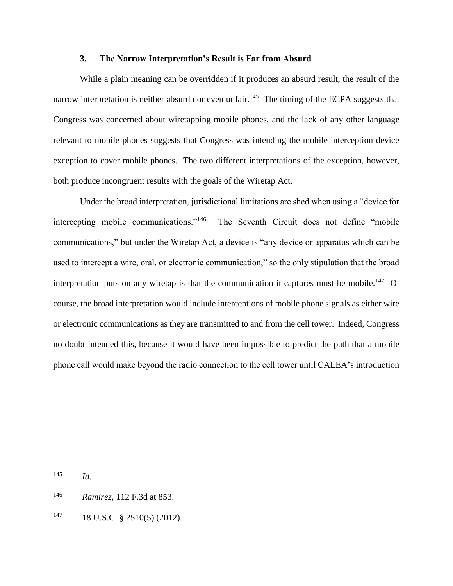## **3. The Narrow Interpretation's Result is Far from Absurd**

<span id="page-35-0"></span>While a plain meaning can be overridden if it produces an absurd result, the result of the narrow interpretation is neither absurd nor even unfair.<sup>145</sup> The timing of the ECPA suggests that Congress was concerned about wiretapping mobile phones, and the lack of any other language relevant to mobile phones suggests that Congress was intending the mobile interception device exception to cover mobile phones. The two different interpretations of the exception, however, both produce incongruent results with the goals of the Wiretap Act.

Under the broad interpretation, jurisdictional limitations are shed when using a "device for intercepting mobile communications."<sup>146</sup> The Seventh Circuit does not define "mobile communications," but under the Wiretap Act, a device is "any device or apparatus which can be used to intercept a wire, oral, or electronic communication," so the only stipulation that the broad interpretation puts on any wiretap is that the communication it captures must be mobile.<sup>147</sup> Of course, the broad interpretation would include interceptions of mobile phone signals as either wire or electronic communications as they are transmitted to and from the cell tower. Indeed, Congress no doubt intended this, because it would have been impossible to predict the path that a mobile phone call would make beyond the radio connection to the cell tower until CALEA's introduction

<sup>145</sup> *Id.*

<sup>146</sup> *Ramirez*, 112 F.3d at 853.

 $147$  18 U.S.C. § 2510(5) (2012).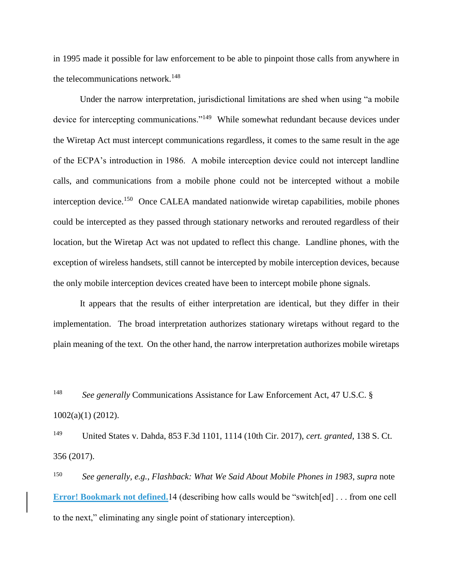in 1995 made it possible for law enforcement to be able to pinpoint those calls from anywhere in the telecommunications network.<sup>148</sup>

Under the narrow interpretation, jurisdictional limitations are shed when using "a mobile device for intercepting communications."<sup>149</sup> While somewhat redundant because devices under the Wiretap Act must intercept communications regardless, it comes to the same result in the age of the ECPA's introduction in 1986. A mobile interception device could not intercept landline calls, and communications from a mobile phone could not be intercepted without a mobile interception device.<sup>150</sup> Once CALEA mandated nationwide wiretap capabilities, mobile phones could be intercepted as they passed through stationary networks and rerouted regardless of their location, but the Wiretap Act was not updated to reflect this change. Landline phones, with the exception of wireless handsets, still cannot be intercepted by mobile interception devices, because the only mobile interception devices created have been to intercept mobile phone signals.

It appears that the results of either interpretation are identical, but they differ in their implementation. The broad interpretation authorizes stationary wiretaps without regard to the plain meaning of the text. On the other hand, the narrow interpretation authorizes mobile wiretaps

<sup>148</sup> *See generally* Communications Assistance for Law Enforcement Act, 47 U.S.C. § 1002(a)(1) (2012).

<sup>149</sup> United States v. Dahda, 853 F.3d 1101, 1114 (10th Cir. 2017), *cert. granted*, 138 S. Ct. 356 (2017).

<sup>150</sup> *See generally, e.g.*, *Flashback: What We Said About Mobile Phones in 1983*, *supra* note **Error! Bookmark not defined.**14 (describing how calls would be "switch[ed] . . . from one cell to the next," eliminating any single point of stationary interception).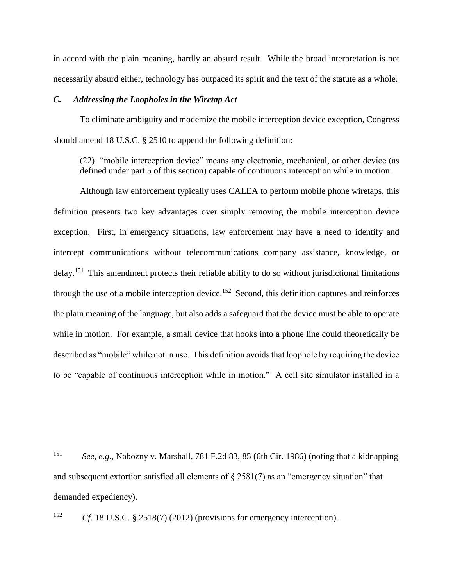in accord with the plain meaning, hardly an absurd result. While the broad interpretation is not necessarily absurd either, technology has outpaced its spirit and the text of the statute as a whole.

#### <span id="page-37-0"></span>*C. Addressing the Loopholes in the Wiretap Act*

To eliminate ambiguity and modernize the mobile interception device exception, Congress should amend 18 U.S.C. § 2510 to append the following definition:

(22) "mobile interception device" means any electronic, mechanical, or other device (as defined under part 5 of this section) capable of continuous interception while in motion.

Although law enforcement typically uses CALEA to perform mobile phone wiretaps, this definition presents two key advantages over simply removing the mobile interception device exception. First, in emergency situations, law enforcement may have a need to identify and intercept communications without telecommunications company assistance, knowledge, or delay.<sup>151</sup> This amendment protects their reliable ability to do so without jurisdictional limitations through the use of a mobile interception device.<sup>152</sup> Second, this definition captures and reinforces the plain meaning of the language, but also adds a safeguard that the device must be able to operate while in motion. For example, a small device that hooks into a phone line could theoretically be described as "mobile" while not in use. This definition avoids that loophole by requiring the device to be "capable of continuous interception while in motion." A cell site simulator installed in a

<sup>151</sup> *See, e.g.*, Nabozny v. Marshall, 781 F.2d 83, 85 (6th Cir. 1986) (noting that a kidnapping and subsequent extortion satisfied all elements of  $\S 2581(7)$  as an "emergency situation" that demanded expediency).

<sup>152</sup> *Cf.* 18 U.S.C. § 2518(7) (2012) (provisions for emergency interception).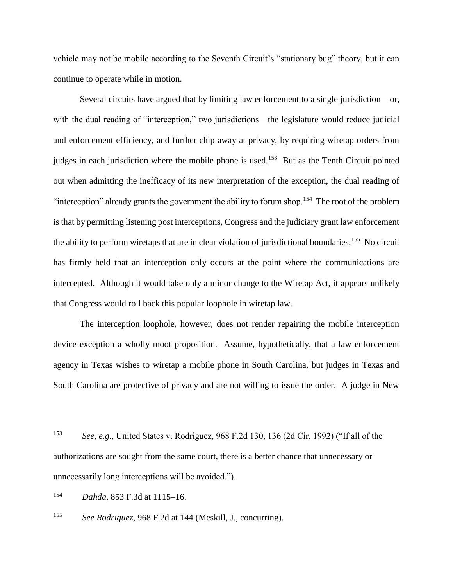vehicle may not be mobile according to the Seventh Circuit's "stationary bug" theory, but it can continue to operate while in motion.

Several circuits have argued that by limiting law enforcement to a single jurisdiction—or, with the dual reading of "interception," two jurisdictions—the legislature would reduce judicial and enforcement efficiency, and further chip away at privacy, by requiring wiretap orders from judges in each jurisdiction where the mobile phone is used.<sup>153</sup> But as the Tenth Circuit pointed out when admitting the inefficacy of its new interpretation of the exception, the dual reading of "interception" already grants the government the ability to forum shop.<sup>154</sup> The root of the problem is that by permitting listening post interceptions, Congress and the judiciary grant law enforcement the ability to perform wiretaps that are in clear violation of jurisdictional boundaries.<sup>155</sup> No circuit has firmly held that an interception only occurs at the point where the communications are intercepted. Although it would take only a minor change to the Wiretap Act, it appears unlikely that Congress would roll back this popular loophole in wiretap law.

The interception loophole, however, does not render repairing the mobile interception device exception a wholly moot proposition. Assume, hypothetically, that a law enforcement agency in Texas wishes to wiretap a mobile phone in South Carolina, but judges in Texas and South Carolina are protective of privacy and are not willing to issue the order. A judge in New

<sup>154</sup> *Dahda*, 853 F.3d at 1115–16.

<sup>155</sup> *See Rodriguez*, 968 F.2d at 144 (Meskill, J., concurring).

<sup>153</sup> *See, e.g.*, United States v. Rodriguez, 968 F.2d 130, 136 (2d Cir. 1992) ("If all of the authorizations are sought from the same court, there is a better chance that unnecessary or unnecessarily long interceptions will be avoided.").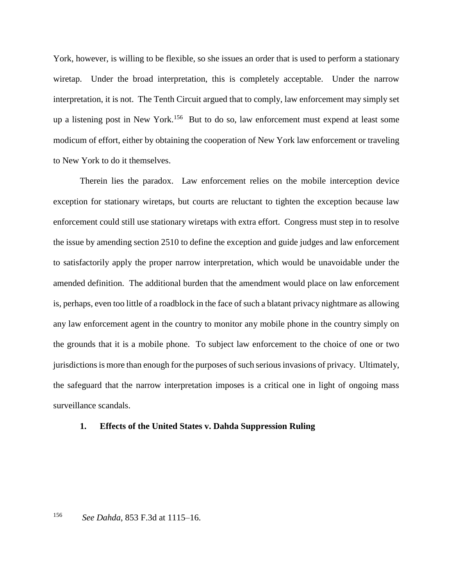York, however, is willing to be flexible, so she issues an order that is used to perform a stationary wiretap. Under the broad interpretation, this is completely acceptable. Under the narrow interpretation, it is not. The Tenth Circuit argued that to comply, law enforcement may simply set up a listening post in New York.<sup>156</sup> But to do so, law enforcement must expend at least some modicum of effort, either by obtaining the cooperation of New York law enforcement or traveling to New York to do it themselves.

Therein lies the paradox. Law enforcement relies on the mobile interception device exception for stationary wiretaps, but courts are reluctant to tighten the exception because law enforcement could still use stationary wiretaps with extra effort. Congress must step in to resolve the issue by amending section 2510 to define the exception and guide judges and law enforcement to satisfactorily apply the proper narrow interpretation, which would be unavoidable under the amended definition. The additional burden that the amendment would place on law enforcement is, perhaps, even too little of a roadblock in the face of such a blatant privacy nightmare as allowing any law enforcement agent in the country to monitor any mobile phone in the country simply on the grounds that it is a mobile phone. To subject law enforcement to the choice of one or two jurisdictions is more than enough for the purposes of such serious invasions of privacy. Ultimately, the safeguard that the narrow interpretation imposes is a critical one in light of ongoing mass surveillance scandals.

#### <span id="page-39-0"></span>**1. Effects of the United States v. Dahda Suppression Ruling**

<sup>156</sup> *See Dahda*, 853 F.3d at 1115–16.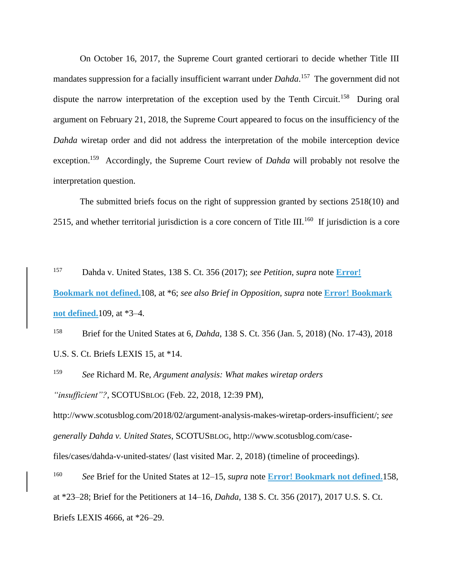On October 16, 2017, the Supreme Court granted certiorari to decide whether Title III mandates suppression for a facially insufficient warrant under *Dahda*. 157 The government did not dispute the narrow interpretation of the exception used by the Tenth Circuit.<sup>158</sup> During oral argument on February 21, 2018, the Supreme Court appeared to focus on the insufficiency of the *Dahda* wiretap order and did not address the interpretation of the mobile interception device exception.<sup>159</sup> Accordingly, the Supreme Court review of *Dahda* will probably not resolve the interpretation question.

The submitted briefs focus on the right of suppression granted by sections 2518(10) and 2515, and whether territorial jurisdiction is a core concern of Title III.<sup>160</sup> If jurisdiction is a core

<sup>157</sup> Dahda v. United States, 138 S. Ct. 356 (2017); *see Petition*, *supra* note **Error! Bookmark not defined.**108, at \*6; *see also Brief in Opposition*, *supra* note **Error! Bookmark not defined.**109, at \*3–4.

<sup>158</sup> Brief for the United States at 6, *Dahda*, 138 S. Ct. 356 (Jan. 5, 2018) (No. 17-43), 2018 U.S. S. Ct. Briefs LEXIS 15, at \*14.

<sup>159</sup> *See* Richard M. Re, *Argument analysis: What makes wiretap orders "insufficient"?*, SCOTUSBLOG (Feb. 22, 2018, 12:39 PM),

http://www.scotusblog.com/2018/02/argument-analysis-makes-wiretap-orders-insufficient/; *see generally Dahda v. United States*, SCOTUSBLOG, http://www.scotusblog.com/case-

files/cases/dahda-v-united-states/ (last visited Mar. 2, 2018) (timeline of proceedings).

<sup>160</sup> *See* Brief for the United States at 12–15, *supra* note **Error! Bookmark not defined.**158, at \*23–28; Brief for the Petitioners at 14–16, *Dahda*, 138 S. Ct. 356 (2017), 2017 U.S. S. Ct. Briefs LEXIS 4666, at \*26–29.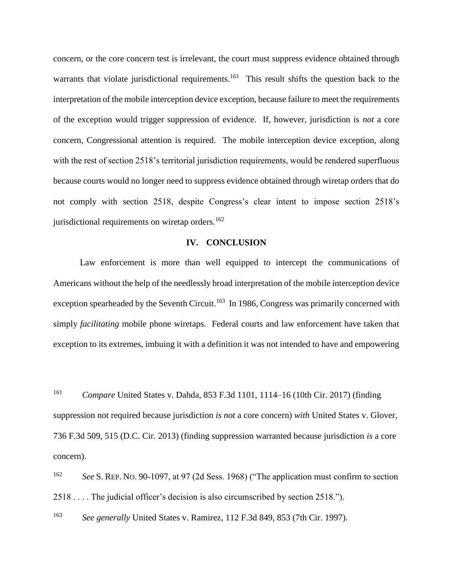concern, or the core concern test is irrelevant, the court must suppress evidence obtained through warrants that violate jurisdictional requirements.<sup>161</sup> This result shifts the question back to the interpretation of the mobile interception device exception, because failure to meet the requirements of the exception would trigger suppression of evidence. If, however, jurisdiction is *not* a core concern, Congressional attention is required. The mobile interception device exception, along with the rest of section 2518's territorial jurisdiction requirements, would be rendered superfluous because courts would no longer need to suppress evidence obtained through wiretap orders that do not comply with section 2518, despite Congress's clear intent to impose section 2518's jurisdictional requirements on wiretap orders. $162$ 

#### **IV. CONCLUSION**

<span id="page-41-0"></span>Law enforcement is more than well equipped to intercept the communications of Americans without the help of the needlessly broad interpretation of the mobile interception device exception spearheaded by the Seventh Circuit.<sup>163</sup> In 1986, Congress was primarily concerned with simply *facilitating* mobile phone wiretaps. Federal courts and law enforcement have taken that exception to its extremes, imbuing it with a definition it was not intended to have and empowering

<sup>161</sup> *Compare* United States v. Dahda, 853 F.3d 1101, 1114–16 (10th Cir. 2017) (finding suppression not required because jurisdiction *is not* a core concern) *with* United States v. Glover, 736 F.3d 509, 515 (D.C. Cir. 2013) (finding suppression warranted because jurisdiction *is* a core concern).

<sup>162</sup> *See* S. REP. NO. 90-1097, at 97 (2d Sess. 1968) ("The application must confirm to section 2518 . . . . The judicial officer's decision is also circumscribed by section 2518.").

<sup>163</sup> *See generally* United States v. Ramirez, 112 F.3d 849, 853 (7th Cir. 1997).